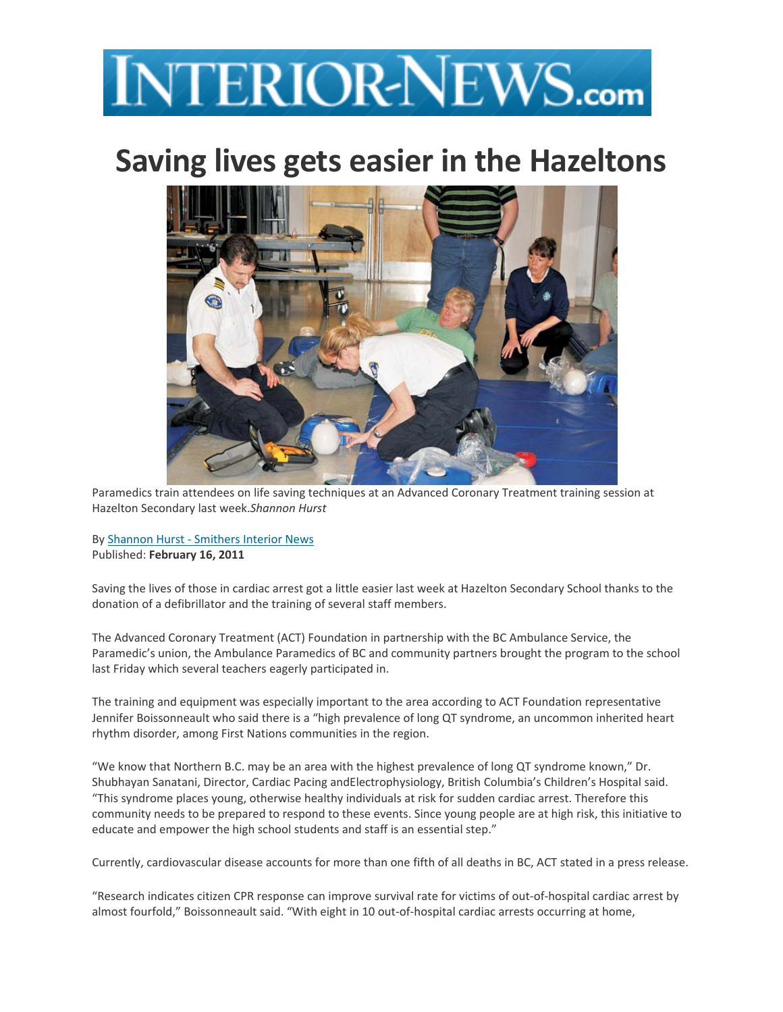## **INTERIOR-NEWS.com**

## **Saving lives gets easier in the Hazeltons**



Paramedics train attendees on life saving techniques at an Advanced Coronary Treatment training session at Hazelton Secondary last week.*Shannon Hurst*

By Shannon Hurst ‐ Smithers Interior News Published: **February 16, 2011**

Saving the lives of those in cardiac arrest got a little easier last week at Hazelton Secondary School thanks to the donation of a defibrillator and the training of several staff members.

The Advanced Coronary Treatment (ACT) Foundation in partnership with the BC Ambulance Service, the Paramedic's union, the Ambulance Paramedics of BC and community partners brought the program to the school last Friday which several teachers eagerly participated in.

The training and equipment was especially important to the area according to ACT Foundation representative Jennifer Boissonneault who said there is a "high prevalence of long QT syndrome, an uncommon inherited heart rhythm disorder, among First Nations communities in the region.

"We know that Northern B.C. may be an area with the highest prevalence of long QT syndrome known," Dr. Shubhayan Sanatani, Director, Cardiac Pacing andElectrophysiology, British Columbia's Children's Hospital said. "This syndrome places young, otherwise healthy individuals at risk for sudden cardiac arrest. Therefore this community needs to be prepared to respond to these events. Since young people are at high risk, this initiative to educate and empower the high school students and staff is an essential step."

Currently, cardiovascular disease accounts for more than one fifth of all deaths in BC, ACT stated in a press release.

"Research indicates citizen CPR response can improve survival rate for victims of out‐of‐hospital cardiac arrest by almost fourfold," Boissonneault said. "With eight in 10 out‐of‐hospital cardiac arrests occurring at home,